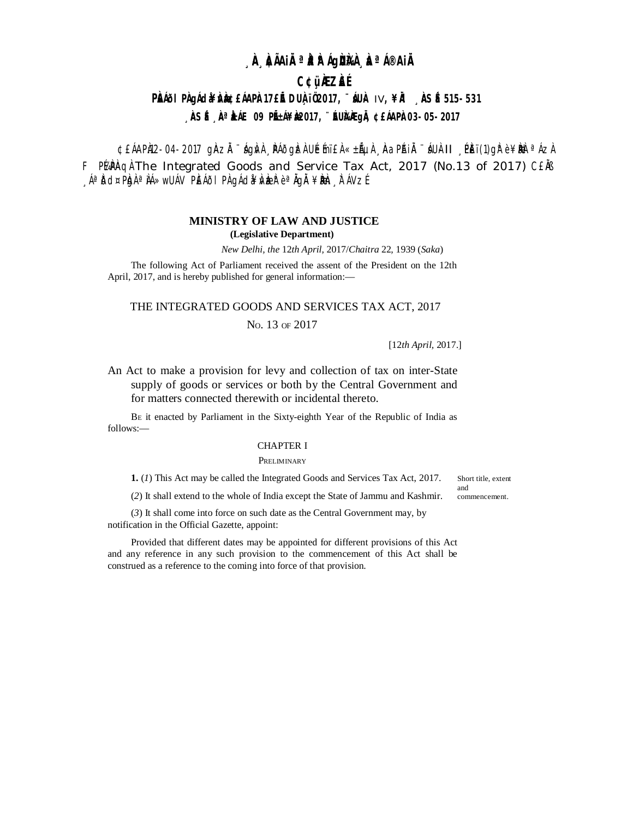# **¸ÀA¸À¢ÃAiÀÄ ªÀåªÀºÁgÀUÀ¼À ¸ÀaªÁ®AiÀÄ**

## **C¢ü¸ÀÆZÀ£É**

# **PÀÍði PÀgÁda¥ÀÀde ÉÁAPÀ17£IE DUÀïÖ2017, ¨INÀ IV, ¥À ÀSÉ 515-531** , **ÀSÉ, À<sup>a</sup>ÀÁE 09 PIÉÁ¥À&017, ¨ÉUÀÀGIÀ ¢£ÁAPÀ03-05-2017**

¢£ÁAPÀ12-04-2017 gÀZ À ¨ ágÀv À ¸ PÁðgÌz À UÉmï£ À «±Ãµ À , Àa PÁJ À ¨ áU À II ¸ PÈï(1)g È ¥ ÞAè ª ÁZ À F Purnaph The Integrated Goods and Service Tax Act, 2017 (No.13 of 2017) CENS  $\Delta_{\mathcal{A}}$ àðd¤P $\alpha$ a Áá»wUÁV P $\mathbf{E}$ Áði P $\alpha$ qÁd $\mathbf{A}$ væð $\alpha$ è <sup>a</sup> Ågå $\mathbf{A}$ ¥ $\mathbf{B}$ æn $\mathbf{E}$ n $\mathbf{A}$ V $\mathbf{A}$ é.

## **MINISTRY OF LAW AND JUSTICE (Legislative Department)**

*New Delhi, the* 12*th April,* 2017/*Chaitra* 22*,* 1939 (*Saka*)

The following Act of Parliament received the assent of the President on the 12th April, 2017, and is hereby published for general information:—

## THE INTEGRATED GOODS AND SERVICES TAX ACT, 2017

## No. 13 OF 2017

[12*th April,* 2017.]

An Act to make a provision for levy and collection of tax on inter-State supply of goods or services or both by the Central Government and for matters connected therewith or incidental thereto.

B<sup>E</sup> it enacted by Parliament in the Sixty-eighth Year of the Republic of India as follows:—

## CHAPTER I

#### **PRELIMINARY**

**1.** (*1*) This Act may be called the Integrated Goods and Services Tax Act, 2017.

Short title, extent and commencement.

(*2*) It shall extend to the whole of India except the State of Jammu and Kashmir.

(*3*) It shall come into force on such date as the Central Government may, by notification in the Official Gazette, appoint:

Provided that different dates may be appointed for different provisions of this Act and any reference in any such provision to the commencement of this Act shall be construed as a reference to the coming into force of that provision.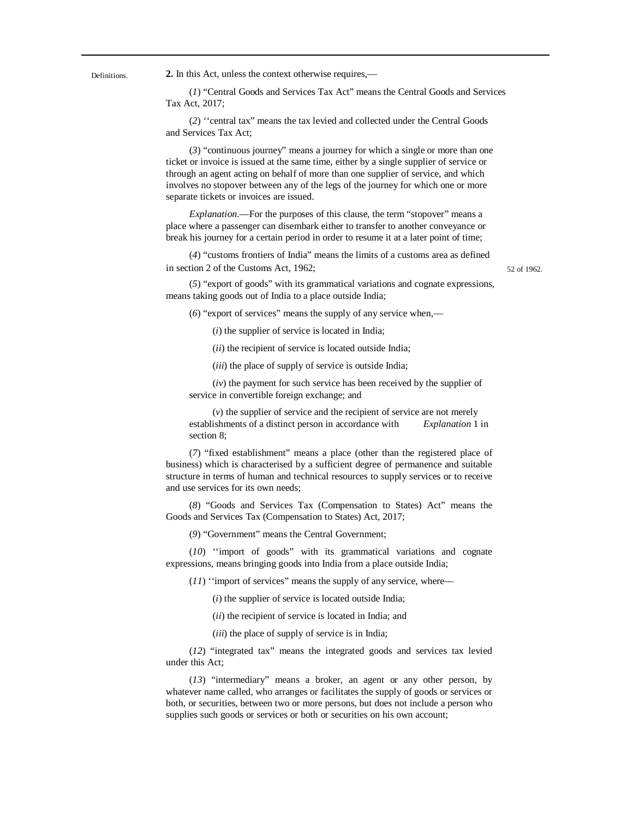Definitions. **2.** In this Act, unless the context otherwise requires,––

(*1*) "Central Goods and Services Tax Act" means the Central Goods and Services Tax Act, 2017;

(*2*) ''central tax" means the tax levied and collected under the Central Goods and Services Tax Act;

(*3*) "continuous journey" means a journey for which a single or more than one ticket or invoice is issued at the same time, either by a single supplier of service or through an agent acting on behalf of more than one supplier of service, and which involves no stopover between any of the legs of the journey for which one or more separate tickets or invoices are issued.

*Explanation*.––For the purposes of this clause, the term "stopover" means a place where a passenger can disembark either to transfer to another conveyance or break his journey for a certain period in order to resume it at a later point of time;

(*4*) "customs frontiers of India" means the limits of a customs area as defined in section 2 of the Customs Act,  $1962$ ;  $52 \text{ of } 1962$ 

(*5*) "export of goods" with its grammatical variations and cognate expressions, means taking goods out of India to a place outside India;

(*6*) "export of services" means the supply of any service when,––

(*i*) the supplier of service is located in India;

(*ii*) the recipient of service is located outside India;

(*iii*) the place of supply of service is outside India;

(*iv*) the payment for such service has been received by the supplier of service in convertible foreign exchange; and

(*v*) the supplier of service and the recipient of service are not merely establishments of a distinct person in accordance with *Explanation* 1 in section 8;

(*7*) "fixed establishment" means a place (other than the registered place of business) which is characterised by a sufficient degree of permanence and suitable structure in terms of human and technical resources to supply services or to receive and use services for its own needs;

(*8*) "Goods and Services Tax (Compensation to States) Act" means the Goods and Services Tax (Compensation to States) Act, 2017;

(*9*) "Government" means the Central Government;

(*10*) ''import of goods" with its grammatical variations and cognate expressions, means bringing goods into India from a place outside India;

 $(11)$  "import of services" means the supply of any service, where—

(*i*) the supplier of service is located outside India;

(*ii*) the recipient of service is located in India; and

(*iii*) the place of supply of service is in India;

(*12*) "integrated tax" means the integrated goods and services tax levied under this Act;

(*13*) "intermediary" means a broker, an agent or any other person, by whatever name called, who arranges or facilitates the supply of goods or services or both, or securities, between two or more persons, but does not include a person who supplies such goods or services or both or securities on his own account;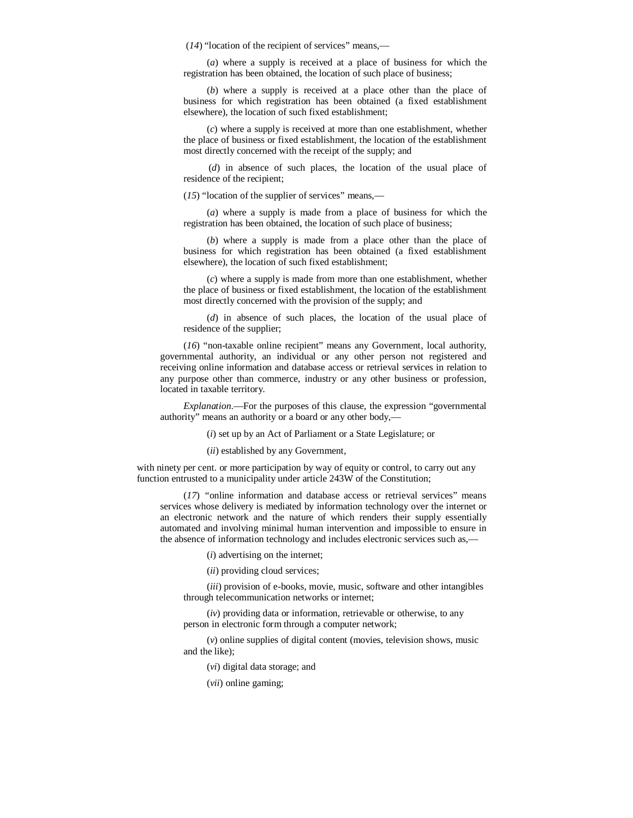(*14*) "location of the recipient of services" means,––

(*a*) where a supply is received at a place of business for which the registration has been obtained, the location of such place of business;

(*b*) where a supply is received at a place other than the place of business for which registration has been obtained (a fixed establishment elsewhere), the location of such fixed establishment;

(*c*) where a supply is received at more than one establishment, whether the place of business or fixed establishment, the location of the establishment most directly concerned with the receipt of the supply; and

(*d*) in absence of such places, the location of the usual place of residence of the recipient;

(*15*) "location of the supplier of services" means,––

(*a*) where a supply is made from a place of business for which the registration has been obtained, the location of such place of business;

(*b*) where a supply is made from a place other than the place of business for which registration has been obtained (a fixed establishment elsewhere), the location of such fixed establishment;

(*c*) where a supply is made from more than one establishment, whether the place of business or fixed establishment, the location of the establishment most directly concerned with the provision of the supply; and

(*d*) in absence of such places, the location of the usual place of residence of the supplier;

(*16*) "non-taxable online recipient" means any Government, local authority, governmental authority, an individual or any other person not registered and receiving online information and database access or retrieval services in relation to any purpose other than commerce, industry or any other business or profession, located in taxable territory.

*Explanation*.––For the purposes of this clause, the expression "governmental authority" means an authority or a board or any other body,––

(*i*) set up by an Act of Parliament or a State Legislature; or

(*ii*) established by any Government,

with ninety per cent. or more participation by way of equity or control, to carry out any function entrusted to a municipality under article 243W of the Constitution;

(*17*) *"*online information and database access or retrieval services" means services whose delivery is mediated by information technology over the internet or an electronic network and the nature of which renders their supply essentially automated and involving minimal human intervention and impossible to ensure in the absence of information technology and includes electronic services such as,––

(*i*) advertising on the internet;

(*ii*) providing cloud services;

(*iii*) provision of e-books, movie, music, software and other intangibles through telecommunication networks or internet;

(*iv*) providing data or information, retrievable or otherwise, to any person in electronic form through a computer network;

(*v*) online supplies of digital content (movies, television shows, music and the like);

(*vi*) digital data storage; and

(*vii*) online gaming;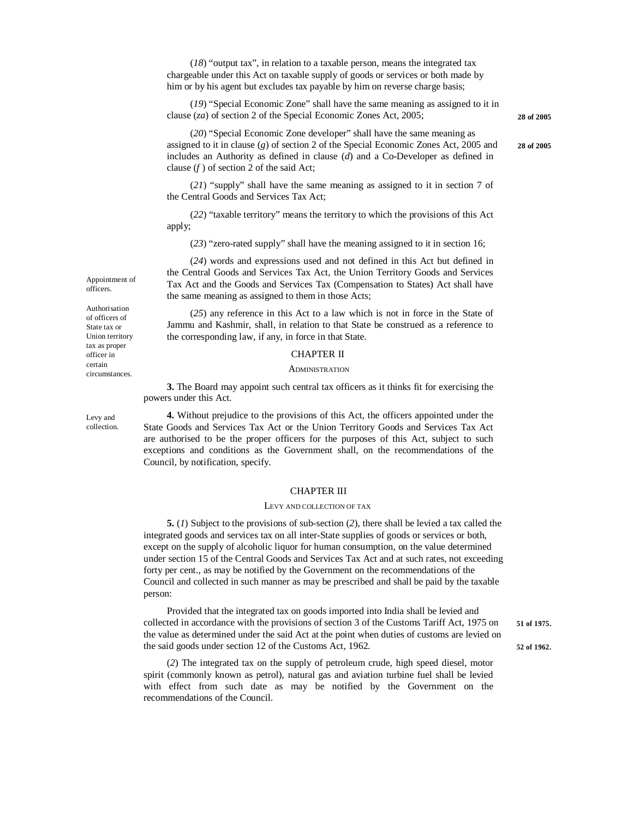(*18*) "output tax", in relation to a taxable person, means the integrated tax chargeable under this Act on taxable supply of goods or services or both made by him or by his agent but excludes tax payable by him on reverse charge basis;

(*19*) "Special Economic Zone" shall have the same meaning as assigned to it in clause (*za*) of section 2 of the Special Economic Zones Act, 2005; **28 of 2005**

(*20*) "Special Economic Zone developer" shall have the same meaning as assigned to it in clause (*g*) of section 2 of the Special Economic Zones Act, 2005 and **28 of 2005** includes an Authority as defined in clause (*d*) and a Co-Developer as defined in clause (*f* ) of section 2 of the said Act;

(*21*) "supply" shall have the same meaning as assigned to it in section 7 of the Central Goods and Services Tax Act;

(*22*) "taxable territory" means the territory to which the provisions of this Act apply;

(*23*) "zero-rated supply" shall have the meaning assigned to it in section 16;

(*24*) words and expressions used and not defined in this Act but defined in the Central Goods and Services Tax Act, the Union Territory Goods and Services Tax Act and the Goods and Services Tax (Compensation to States) Act shall have the same meaning as assigned to them in those Acts;

(*25*) any reference in this Act to a law which is not in force in the State of Jammu and Kashmir, shall, in relation to that State be construed as a reference to the corresponding law, if any, in force in that State.

#### CHAPTER II

#### **ADMINISTRATION**

**3.** The Board may appoint such central tax officers as it thinks fit for exercising the powers under this Act.

**4.** Without prejudice to the provisions of this Act, the officers appointed under the State Goods and Services Tax Act or the Union Territory Goods and Services Tax Act are authorised to be the proper officers for the purposes of this Act, subject to such exceptions and conditions as the Government shall, on the recommendations of the Council, by notification, specify.

#### CHAPTER III

#### LEVY AND COLLECTION OF TAX

**5.** (*1*) Subject to the provisions of sub-section (*2*), there shall be levied a tax called the integrated goods and services tax on all inter-State supplies of goods or services or both, except on the supply of alcoholic liquor for human consumption, on the value determined under section 15 of the Central Goods and Services Tax Act and at such rates, not exceeding forty per cent., as may be notified by the Government on the recommendations of the Council and collected in such manner as may be prescribed and shall be paid by the taxable person:

Provided that the integrated tax on goods imported into India shall be levied and collected in accordance with the provisions of section 3 of the Customs Tariff Act, 1975 on **51 of 1975.** the value as determined under the said Act at the point when duties of customs are levied on the said goods under section 12 of the Customs Act, 1962. **52 of 1962.**

(*2*) The integrated tax on the supply of petroleum crude, high speed diesel, motor spirit (commonly known as petrol), natural gas and aviation turbine fuel shall be levied with effect from such date as may be notified by the Government on the recommendations of the Council.

Appointment of officers.

Authorisation of officers of State tax or Union territory tax as proper officer in certain circumstances.

Levy and collection.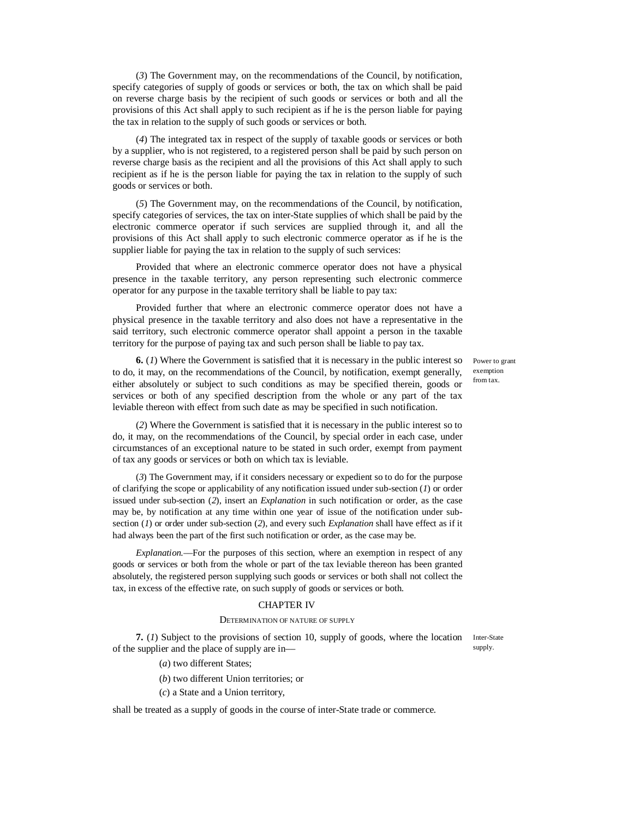(*3*) The Government may, on the recommendations of the Council, by notification, specify categories of supply of goods or services or both, the tax on which shall be paid on reverse charge basis by the recipient of such goods or services or both and all the provisions of this Act shall apply to such recipient as if he is the person liable for paying the tax in relation to the supply of such goods or services or both.

(*4*) The integrated tax in respect of the supply of taxable goods or services or both by a supplier, who is not registered, to a registered person shall be paid by such person on reverse charge basis as the recipient and all the provisions of this Act shall apply to such recipient as if he is the person liable for paying the tax in relation to the supply of such goods or services or both.

(*5*) The Government may, on the recommendations of the Council, by notification, specify categories of services, the tax on inter-State supplies of which shall be paid by the electronic commerce operator if such services are supplied through it, and all the provisions of this Act shall apply to such electronic commerce operator as if he is the supplier liable for paying the tax in relation to the supply of such services:

Provided that where an electronic commerce operator does not have a physical presence in the taxable territory, any person representing such electronic commerce operator for any purpose in the taxable territory shall be liable to pay tax:

Provided further that where an electronic commerce operator does not have a physical presence in the taxable territory and also does not have a representative in the said territory, such electronic commerce operator shall appoint a person in the taxable territory for the purpose of paying tax and such person shall be liable to pay tax.

**6.** (*1*) Where the Government is satisfied that it is necessary in the public interest so to do, it may, on the recommendations of the Council, by notification, exempt generally, either absolutely or subject to such conditions as may be specified therein, goods or services or both of any specified description from the whole or any part of the tax leviable thereon with effect from such date as may be specified in such notification.

Power to grant exemption from tax.

(*2*) Where the Government is satisfied that it is necessary in the public interest so to do, it may, on the recommendations of the Council, by special order in each case, under circumstances of an exceptional nature to be stated in such order, exempt from payment of tax any goods or services or both on which tax is leviable.

(*3*) The Government may, if it considers necessary or expedient so to do for the purpose of clarifying the scope or applicability of any notification issued under sub-section (*1*) or order issued under sub-section (*2*), insert an *Explanation* in such notification or order, as the case may be, by notification at any time within one year of issue of the notification under subsection (*1*) or order under sub-section (*2*), and every such *Explanation* shall have effect as if it had always been the part of the first such notification or order, as the case may be.

*Explanation*.––For the purposes of this section, where an exemption in respect of any goods or services or both from the whole or part of the tax leviable thereon has been granted absolutely, the registered person supplying such goods or services or both shall not collect the tax, in excess of the effective rate, on such supply of goods or services or both.

#### CHAPTER IV

#### DETERMINATION OF NATURE OF SUPPLY

**7.** (1) Subject to the provisions of section 10, supply of goods, where the location Inter-State of the supplier and the place of supply are in––

supply.

- (*a*) two different States;
- (*b*) two different Union territories; or
- (*c*) a State and a Union territory,

shall be treated as a supply of goods in the course of inter-State trade or commerce.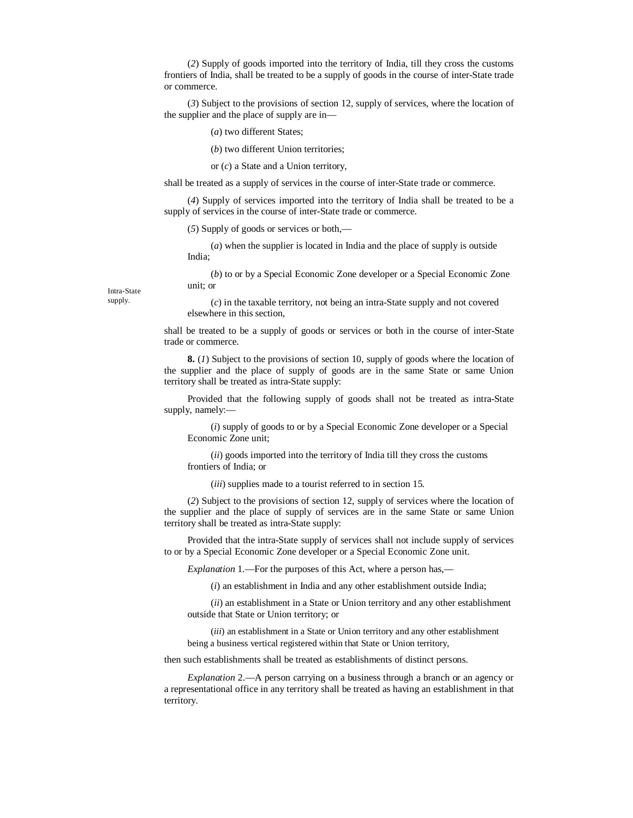(*2*) Supply of goods imported into the territory of India, till they cross the customs frontiers of India, shall be treated to be a supply of goods in the course of inter-State trade or commerce.

(*3*) Subject to the provisions of section 12, supply of services, where the location of the supplier and the place of supply are in––

(*a*) two different States;

(*b*) two different Union territories;

or (*c*) a State and a Union territory,

shall be treated as a supply of services in the course of inter-State trade or commerce.

(*4*) Supply of services imported into the territory of India shall be treated to be a supply of services in the course of inter-State trade or commerce.

(*5*) Supply of goods or services or both,––

(*a*) when the supplier is located in India and the place of supply is outside India;

(*b*) to or by a Special Economic Zone developer or a Special Economic Zone unit; or

(*c*) in the taxable territory, not being an intra-State supply and not covered elsewhere in this section,

shall be treated to be a supply of goods or services or both in the course of inter-State trade or commerce.

**8.** (*1*) Subject to the provisions of section 10, supply of goods where the location of the supplier and the place of supply of goods are in the same State or same Union territory shall be treated as intra-State supply:

Provided that the following supply of goods shall not be treated as intra-State supply, namely:––

(*i*) supply of goods to or by a Special Economic Zone developer or a Special Economic Zone unit;

(*ii*) goods imported into the territory of India till they cross the customs frontiers of India; or

(*iii*) supplies made to a tourist referred to in section 15.

(*2*) Subject to the provisions of section 12, supply of services where the location of the supplier and the place of supply of services are in the same State or same Union territory shall be treated as intra-State supply:

Provided that the intra-State supply of services shall not include supply of services to or by a Special Economic Zone developer or a Special Economic Zone unit.

*Explanation 1.—For the purposes of this Act, where a person has,—* 

(*i*) an establishment in India and any other establishment outside India;

(*ii*) an establishment in a State or Union territory and any other establishment outside that State or Union territory; or

(*iii*) an establishment in a State or Union territory and any other establishment being a business vertical registered within that State or Union territory,

then such establishments shall be treated as establishments of distinct persons.

*Explanation* 2.––A person carrying on a business through a branch or an agency or a representational office in any territory shall be treated as having an establishment in that territory.

Intra-State supply.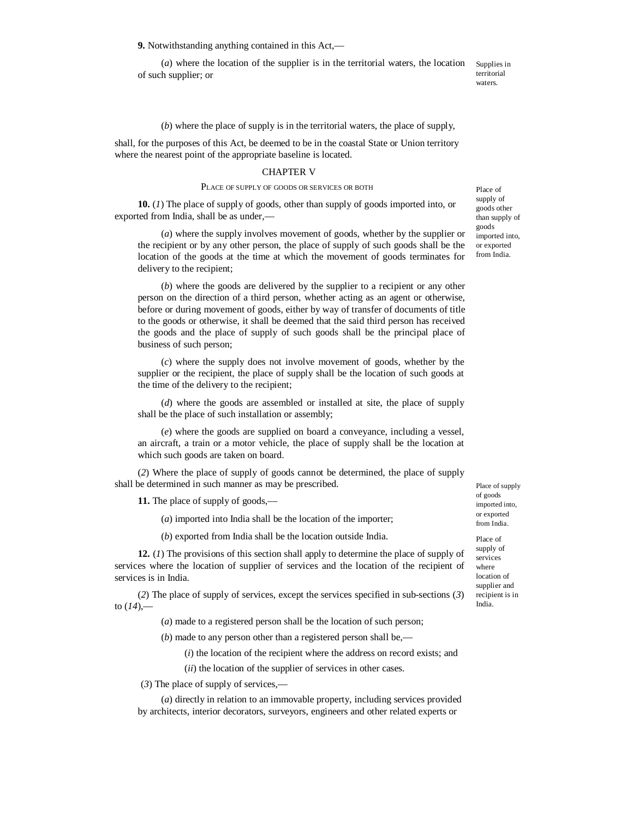**9.** Notwithstanding anything contained in this Act,––

(*a*) where the location of the supplier is in the territorial waters, the location of such supplier; or Supplies in

territorial waters.

(*b*) where the place of supply is in the territorial waters, the place of supply,

shall, for the purposes of this Act, be deemed to be in the coastal State or Union territory where the nearest point of the appropriate baseline is located.

#### CHAPTER V

#### PLACE OF SUPPLY OF GOODS OR SERVICES OR BOTH

**10.** (*1*) The place of supply of goods, other than supply of goods imported into, or exported from India, shall be as under,––

(*a*) where the supply involves movement of goods, whether by the supplier or the recipient or by any other person, the place of supply of such goods shall be the location of the goods at the time at which the movement of goods terminates for delivery to the recipient;

(*b*) where the goods are delivered by the supplier to a recipient or any other person on the direction of a third person, whether acting as an agent or otherwise, before or during movement of goods, either by way of transfer of documents of title to the goods or otherwise, it shall be deemed that the said third person has received the goods and the place of supply of such goods shall be the principal place of business of such person;

(*c*) where the supply does not involve movement of goods, whether by the supplier or the recipient, the place of supply shall be the location of such goods at the time of the delivery to the recipient;

(*d*) where the goods are assembled or installed at site, the place of supply shall be the place of such installation or assembly;

(*e*) where the goods are supplied on board a conveyance, including a vessel, an aircraft, a train or a motor vehicle, the place of supply shall be the location at which such goods are taken on board.

(*2*) Where the place of supply of goods cannot be determined, the place of supply shall be determined in such manner as may be prescribed.

**11.** The place of supply of goods,—

(*a*) imported into India shall be the location of the importer;

(*b*) exported from India shall be the location outside India.

**12.** (*1*) The provisions of this section shall apply to determine the place of supply of services where the location of supplier of services and the location of the recipient of services is in India.

(*2*) The place of supply of services, except the services specified in sub-sections (*3*) to (*14*),––

(*a*) made to a registered person shall be the location of such person;

(*b*) made to any person other than a registered person shall be,––

(*i*) the location of the recipient where the address on record exists; and

(*ii*) the location of the supplier of services in other cases.

(*3*) The place of supply of services,––

(*a*) directly in relation to an immovable property, including services provided by architects, interior decorators, surveyors, engineers and other related experts or

Place of supply of goods other than supply of goods imported into, or exported from India.

Place of supply of goods imported into, or exported from India.

Place of supply of services where location of supplier and recipient is in India.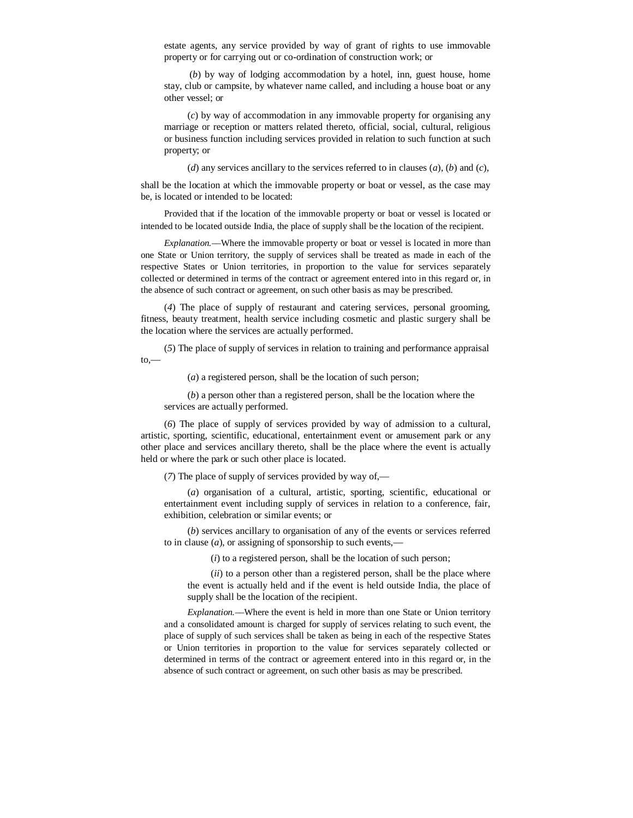estate agents, any service provided by way of grant of rights to use immovable property or for carrying out or co-ordination of construction work; or

(*b*) by way of lodging accommodation by a hotel, inn, guest house, home stay, club or campsite, by whatever name called, and including a house boat or any other vessel; or

(*c*) by way of accommodation in any immovable property for organising any marriage or reception or matters related thereto, official, social, cultural, religious or business function including services provided in relation to such function at such property; or

(*d*) any services ancillary to the services referred to in clauses (*a*), (*b*) and (*c*),

shall be the location at which the immovable property or boat or vessel, as the case may be, is located or intended to be located:

Provided that if the location of the immovable property or boat or vessel is located or intended to be located outside India, the place of supply shall be the location of the recipient.

*Explanation.––*Where the immovable property or boat or vessel is located in more than one State or Union territory, the supply of services shall be treated as made in each of the respective States or Union territories, in proportion to the value for services separately collected or determined in terms of the contract or agreement entered into in this regard or, in the absence of such contract or agreement, on such other basis as may be prescribed.

(*4*) The place of supply of restaurant and catering services, personal grooming, fitness, beauty treatment, health service including cosmetic and plastic surgery shall be the location where the services are actually performed.

(*5*) The place of supply of services in relation to training and performance appraisal  $to,$ 

(*a*) a registered person, shall be the location of such person;

(*b*) a person other than a registered person, shall be the location where the services are actually performed.

(*6*) The place of supply of services provided by way of admission to a cultural, artistic, sporting, scientific, educational, entertainment event or amusement park or any other place and services ancillary thereto, shall be the place where the event is actually held or where the park or such other place is located.

(*7*) The place of supply of services provided by way of,—

(*a*) organisation of a cultural, artistic, sporting, scientific, educational or entertainment event including supply of services in relation to a conference, fair, exhibition, celebration or similar events; or

(*b*) services ancillary to organisation of any of the events or services referred to in clause (*a*), or assigning of sponsorship to such events,––

(*i*) to a registered person, shall be the location of such person;

(*ii*) to a person other than a registered person, shall be the place where the event is actually held and if the event is held outside India, the place of supply shall be the location of the recipient.

*Explanation.*––Where the event is held in more than one State or Union territory and a consolidated amount is charged for supply of services relating to such event, the place of supply of such services shall be taken as being in each of the respective States or Union territories in proportion to the value for services separately collected or determined in terms of the contract or agreement entered into in this regard or, in the absence of such contract or agreement, on such other basis as may be prescribed.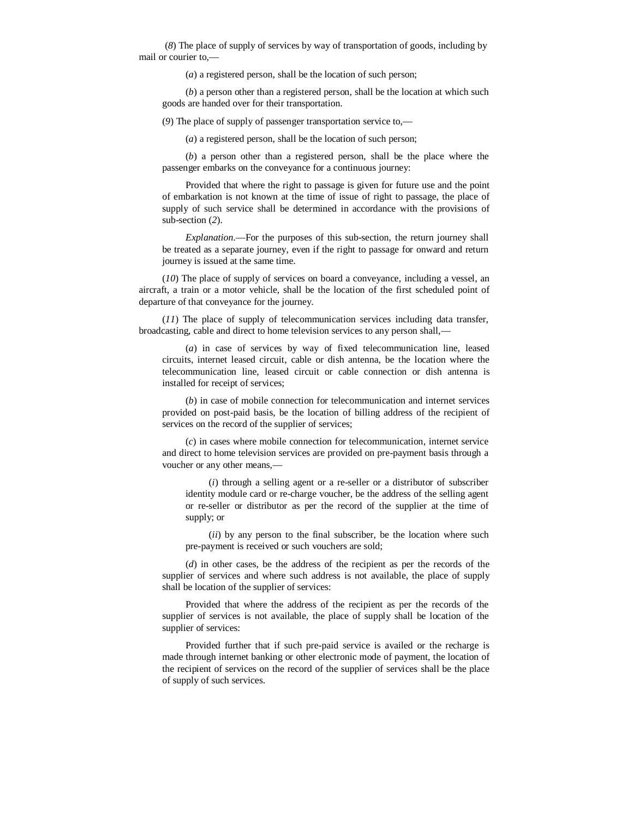(*8*) The place of supply of services by way of transportation of goods, including by mail or courier to,––

(*a*) a registered person, shall be the location of such person;

(*b*) a person other than a registered person, shall be the location at which such goods are handed over for their transportation.

(*9*) The place of supply of passenger transportation service to,—

(*a*) a registered person, shall be the location of such person;

(*b*) a person other than a registered person, shall be the place where the passenger embarks on the conveyance for a continuous journey:

Provided that where the right to passage is given for future use and the point of embarkation is not known at the time of issue of right to passage, the place of supply of such service shall be determined in accordance with the provisions of sub-section (*2*).

*Explanation*.––For the purposes of this sub-section, the return journey shall be treated as a separate journey, even if the right to passage for onward and return journey is issued at the same time.

(*10*) The place of supply of services on board a conveyance, including a vessel, an aircraft, a train or a motor vehicle, shall be the location of the first scheduled point of departure of that conveyance for the journey.

(*11*) The place of supply of telecommunication services including data transfer, broadcasting, cable and direct to home television services to any person shall,—

(*a*) in case of services by way of fixed telecommunication line, leased circuits, internet leased circuit, cable or dish antenna, be the location where the telecommunication line, leased circuit or cable connection or dish antenna is installed for receipt of services;

(*b*) in case of mobile connection for telecommunication and internet services provided on post-paid basis, be the location of billing address of the recipient of services on the record of the supplier of services;

(*c*) in cases where mobile connection for telecommunication, internet service and direct to home television services are provided on pre-payment basis through a voucher or any other means,––

(*i*) through a selling agent or a re-seller or a distributor of subscriber identity module card or re-charge voucher, be the address of the selling agent or re-seller or distributor as per the record of the supplier at the time of supply; or

(*ii*) by any person to the final subscriber, be the location where such pre-payment is received or such vouchers are sold;

(*d*) in other cases, be the address of the recipient as per the records of the supplier of services and where such address is not available, the place of supply shall be location of the supplier of services:

Provided that where the address of the recipient as per the records of the supplier of services is not available, the place of supply shall be location of the supplier of services:

Provided further that if such pre-paid service is availed or the recharge is made through internet banking or other electronic mode of payment, the location of the recipient of services on the record of the supplier of services shall be the place of supply of such services.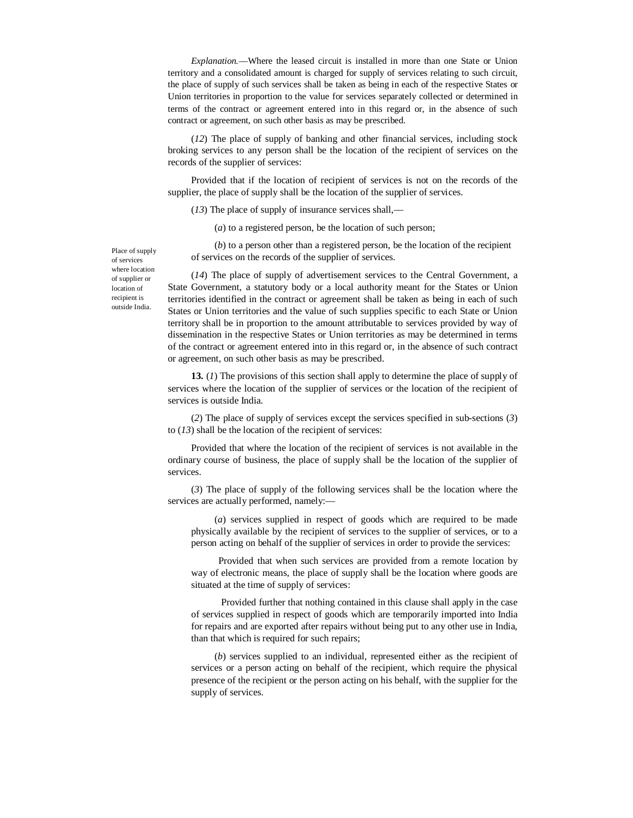*Explanation.––*Where the leased circuit is installed in more than one State or Union territory and a consolidated amount is charged for supply of services relating to such circuit, the place of supply of such services shall be taken as being in each of the respective States or Union territories in proportion to the value for services separately collected or determined in terms of the contract or agreement entered into in this regard or, in the absence of such contract or agreement, on such other basis as may be prescribed.

(*12*) The place of supply of banking and other financial services, including stock broking services to any person shall be the location of the recipient of services on the records of the supplier of services:

Provided that if the location of recipient of services is not on the records of the supplier, the place of supply shall be the location of the supplier of services.

(*13*) The place of supply of insurance services shall,––

(*a*) to a registered person, be the location of such person;

(*b*) to a person other than a registered person, be the location of the recipient of services on the records of the supplier of services.

(*14*) The place of supply of advertisement services to the Central Government, a State Government, a statutory body or a local authority meant for the States or Union territories identified in the contract or agreement shall be taken as being in each of such States or Union territories and the value of such supplies specific to each State or Union territory shall be in proportion to the amount attributable to services provided by way of dissemination in the respective States or Union territories as may be determined in terms of the contract or agreement entered into in this regard or, in the absence of such contract or agreement, on such other basis as may be prescribed.

**13.** (*1*) The provisions of this section shall apply to determine the place of supply of services where the location of the supplier of services or the location of the recipient of services is outside India.

(*2*) The place of supply of services except the services specified in sub-sections (*3*) to (*13*) shall be the location of the recipient of services:

Provided that where the location of the recipient of services is not available in the ordinary course of business, the place of supply shall be the location of the supplier of services.

(*3*) The place of supply of the following services shall be the location where the services are actually performed, namely:—

(*a*) services supplied in respect of goods which are required to be made physically available by the recipient of services to the supplier of services, or to a person acting on behalf of the supplier of services in order to provide the services:

Provided that when such services are provided from a remote location by way of electronic means, the place of supply shall be the location where goods are situated at the time of supply of services:

Provided further that nothing contained in this clause shall apply in the case of services supplied in respect of goods which are temporarily imported into India for repairs and are exported after repairs without being put to any other use in India, than that which is required for such repairs;

(*b*) services supplied to an individual, represented either as the recipient of services or a person acting on behalf of the recipient, which require the physical presence of the recipient or the person acting on his behalf, with the supplier for the supply of services.

Place of supply of services where location of supplier or location of recipient is outside India.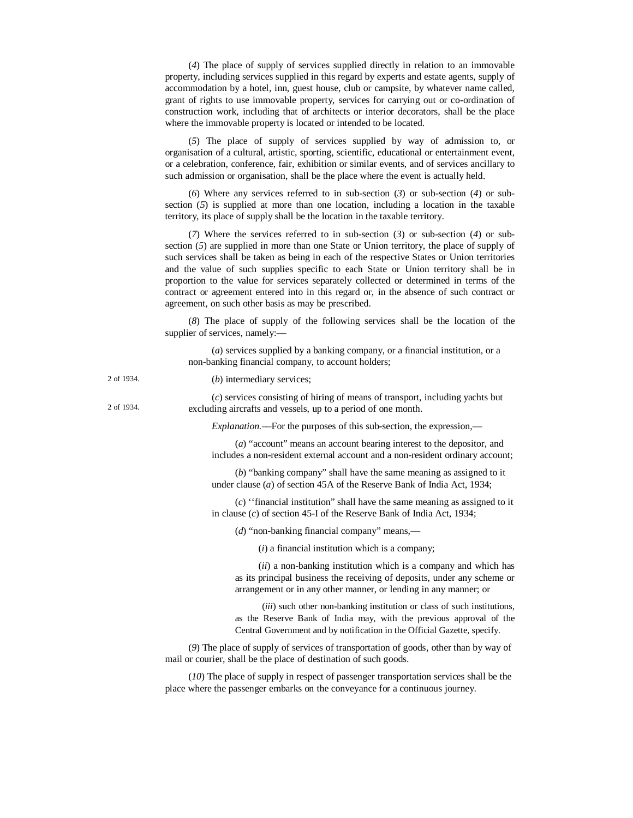(*4*) The place of supply of services supplied directly in relation to an immovable property, including services supplied in this regard by experts and estate agents, supply of accommodation by a hotel, inn, guest house, club or campsite, by whatever name called, grant of rights to use immovable property, services for carrying out or co-ordination of construction work, including that of architects or interior decorators, shall be the place where the immovable property is located or intended to be located.

(*5*) The place of supply of services supplied by way of admission to, or organisation of a cultural, artistic, sporting, scientific, educational or entertainment event, or a celebration, conference, fair, exhibition or similar events, and of services ancillary to such admission or organisation, shall be the place where the event is actually held.

(*6*) Where any services referred to in sub-section (*3*) or sub-section (*4*) or subsection (*5*) is supplied at more than one location, including a location in the taxable territory, its place of supply shall be the location in the taxable territory.

(*7*) Where the services referred to in sub-section (*3*) or sub-section (*4*) or subsection (*5*) are supplied in more than one State or Union territory, the place of supply of such services shall be taken as being in each of the respective States or Union territories and the value of such supplies specific to each State or Union territory shall be in proportion to the value for services separately collected or determined in terms of the contract or agreement entered into in this regard or, in the absence of such contract or agreement, on such other basis as may be prescribed.

(*8*) The place of supply of the following services shall be the location of the supplier of services, namely:––

(*a*) services supplied by a banking company, or a financial institution, or a non-banking financial company, to account holders;

| 2 of 1934. | $(b)$ intermediary services;                                                                                                                                                                                                      |
|------------|-----------------------------------------------------------------------------------------------------------------------------------------------------------------------------------------------------------------------------------|
| 2 of 1934. | (c) services consisting of hiring of means of transport, including yachts but<br>excluding aircrafts and vessels, up to a period of one month.                                                                                    |
|            | <i>Explanation</i> .—For the purposes of this sub-section, the expression,—                                                                                                                                                       |
|            | (a) "account" means an account bearing interest to the depositor, and<br>includes a non-resident external account and a non-resident ordinary account;                                                                            |
|            | $(b)$ "banking company" shall have the same meaning as assigned to it<br>under clause $(a)$ of section 45A of the Reserve Bank of India Act, 1934;                                                                                |
|            | $(c)$ "financial institution" shall have the same meaning as assigned to it<br>in clause $(c)$ of section 45-I of the Reserve Bank of India Act, 1934;                                                                            |
|            | (d) "non-banking financial company" means,—                                                                                                                                                                                       |
|            | $(i)$ a financial institution which is a company;                                                                                                                                                                                 |
|            | ( <i>ii</i> ) a non-banking institution which is a company and which has<br>as its principal business the receiving of deposits, under any scheme or<br>arrangement or in any other manner, or lending in any manner; or          |
|            | <i>(iii)</i> such other non-banking institution or class of such institutions,<br>as the Reserve Bank of India may, with the previous approval of the<br>Central Government and by notification in the Official Gazette, specify. |
|            | (9) The place of supply of services of transportation of goods, other than by way of<br>mail or courier, shall be the place of destination of such goods.                                                                         |
|            | (10) The place of supply in respect of passenger transportation services shall be the                                                                                                                                             |

place where the passenger embarks on the conveyance for a continuous journey.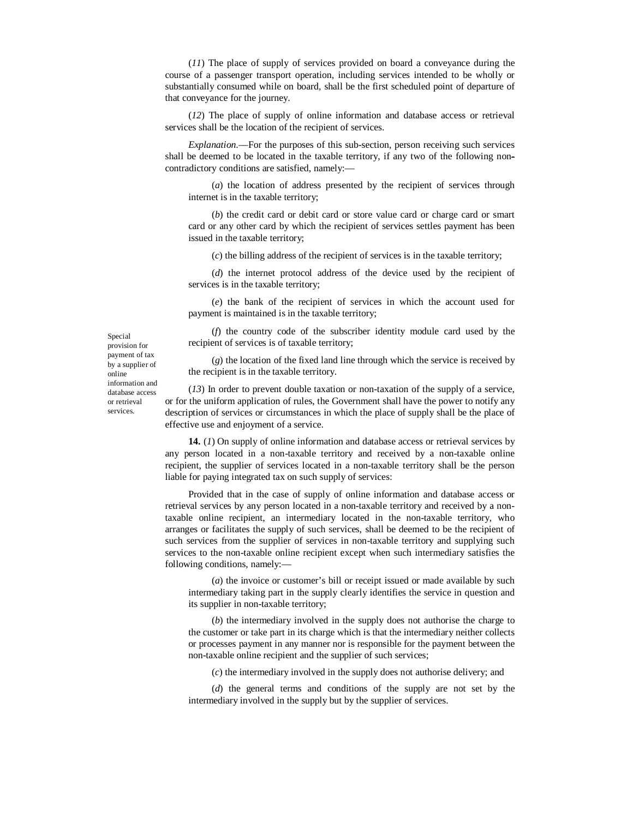(*11*) The place of supply of services provided on board a conveyance during the course of a passenger transport operation, including services intended to be wholly or substantially consumed while on board, shall be the first scheduled point of departure of that conveyance for the journey.

(*12*) The place of supply of online information and database access or retrieval services shall be the location of the recipient of services.

*Explanation*.––For the purposes of this sub-section, person receiving such services shall be deemed to be located in the taxable territory, if any two of the following noncontradictory conditions are satisfied, namely:––

(*a*) the location of address presented by the recipient of services through internet is in the taxable territory;

(*b*) the credit card or debit card or store value card or charge card or smart card or any other card by which the recipient of services settles payment has been issued in the taxable territory;

(*c*) the billing address of the recipient of services is in the taxable territory;

(*d*) the internet protocol address of the device used by the recipient of services is in the taxable territory;

(*e*) the bank of the recipient of services in which the account used for payment is maintained is in the taxable territory;

(*f*) the country code of the subscriber identity module card used by the recipient of services is of taxable territory;

(*g*) the location of the fixed land line through which the service is received by the recipient is in the taxable territory.

(*13*) In order to prevent double taxation or non-taxation of the supply of a service, or for the uniform application of rules, the Government shall have the power to notify any description of services or circumstances in which the place of supply shall be the place of effective use and enjoyment of a service.

**14.** (*1*) On supply of online information and database access or retrieval services by any person located in a non-taxable territory and received by a non-taxable online recipient, the supplier of services located in a non-taxable territory shall be the person liable for paying integrated tax on such supply of services:

Provided that in the case of supply of online information and database access or retrieval services by any person located in a non-taxable territory and received by a nontaxable online recipient, an intermediary located in the non-taxable territory, who arranges or facilitates the supply of such services, shall be deemed to be the recipient of such services from the supplier of services in non-taxable territory and supplying such services to the non-taxable online recipient except when such intermediary satisfies the following conditions, namely:—

(*a*) the invoice or customer's bill or receipt issued or made available by such intermediary taking part in the supply clearly identifies the service in question and its supplier in non-taxable territory;

(*b*) the intermediary involved in the supply does not authorise the charge to the customer or take part in its charge which is that the intermediary neither collects or processes payment in any manner nor is responsible for the payment between the non-taxable online recipient and the supplier of such services;

(*c*) the intermediary involved in the supply does not authorise delivery; and

(*d*) the general terms and conditions of the supply are not set by the intermediary involved in the supply but by the supplier of services.

Special provision for payment of tax by a supplier of online information and database access or retrieval services.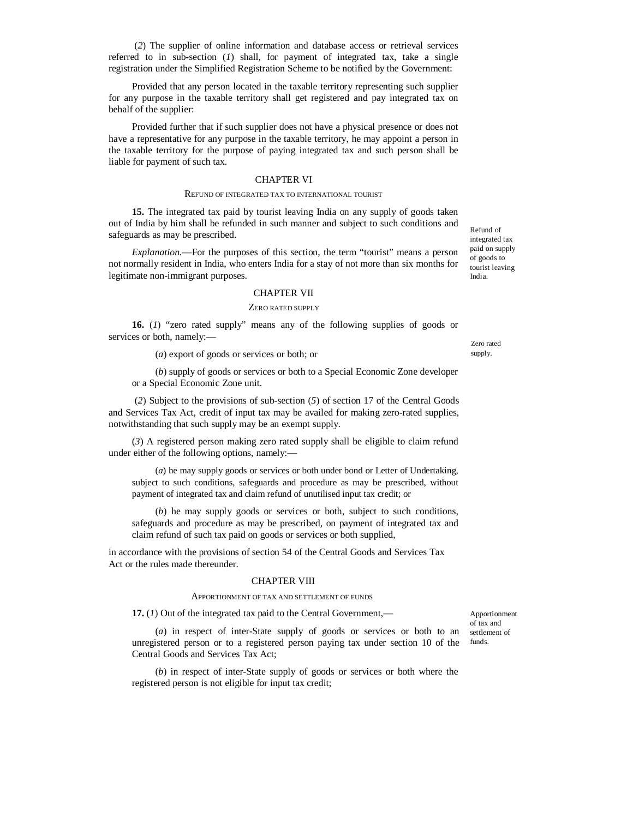(*2*) The supplier of online information and database access or retrieval services referred to in sub-section (*1*) shall, for payment of integrated tax, take a single registration under the Simplified Registration Scheme to be notified by the Government:

Provided that any person located in the taxable territory representing such supplier for any purpose in the taxable territory shall get registered and pay integrated tax on behalf of the supplier:

Provided further that if such supplier does not have a physical presence or does not have a representative for any purpose in the taxable territory, he may appoint a person in the taxable territory for the purpose of paying integrated tax and such person shall be liable for payment of such tax.

#### CHAPTER VI

#### REFUND OF INTEGRATED TAX TO INTERNATIONAL TOURIST

**15.** The integrated tax paid by tourist leaving India on any supply of goods taken out of India by him shall be refunded in such manner and subject to such conditions and safeguards as may be prescribed.

*Explanation.*––For the purposes of this section, the term "tourist" means a person not normally resident in India, who enters India for a stay of not more than six months for legitimate non-immigrant purposes.

#### CHAPTER VII

#### ZERO RATED SUPPLY

**16.** (*1*) "zero rated supply" means any of the following supplies of goods or services or both, namely:––

(*a*) export of goods or services or both; or

(*b*) supply of goods or services or both to a Special Economic Zone developer or a Special Economic Zone unit.

(*2*) Subject to the provisions of sub-section (*5*) of section 17 of the Central Goods and Services Tax Act, credit of input tax may be availed for making zero-rated supplies, notwithstanding that such supply may be an exempt supply.

(*3*) A registered person making zero rated supply shall be eligible to claim refund under either of the following options, namely:––

(*a*) he may supply goods or services or both under bond or Letter of Undertaking, subject to such conditions, safeguards and procedure as may be prescribed, without payment of integrated tax and claim refund of unutilised input tax credit; or

(*b*) he may supply goods or services or both, subject to such conditions, safeguards and procedure as may be prescribed, on payment of integrated tax and claim refund of such tax paid on goods or services or both supplied,

in accordance with the provisions of section 54 of the Central Goods and Services Tax Act or the rules made thereunder.

#### CHAPTER VIII

#### APPORTIONMENT OF TAX AND SETTLEMENT OF FUNDS

**17.** (*1*) Out of the integrated tax paid to the Central Government,––

(*a*) in respect of inter-State supply of goods or services or both to an unregistered person or to a registered person paying tax under section 10 of the Central Goods and Services Tax Act;

(*b*) in respect of inter-State supply of goods or services or both where the registered person is not eligible for input tax credit;

Apportionment of tax and settlement of funds.

Zero rated supply.

Refund of integrated tax paid on supply of goods to tourist leaving India.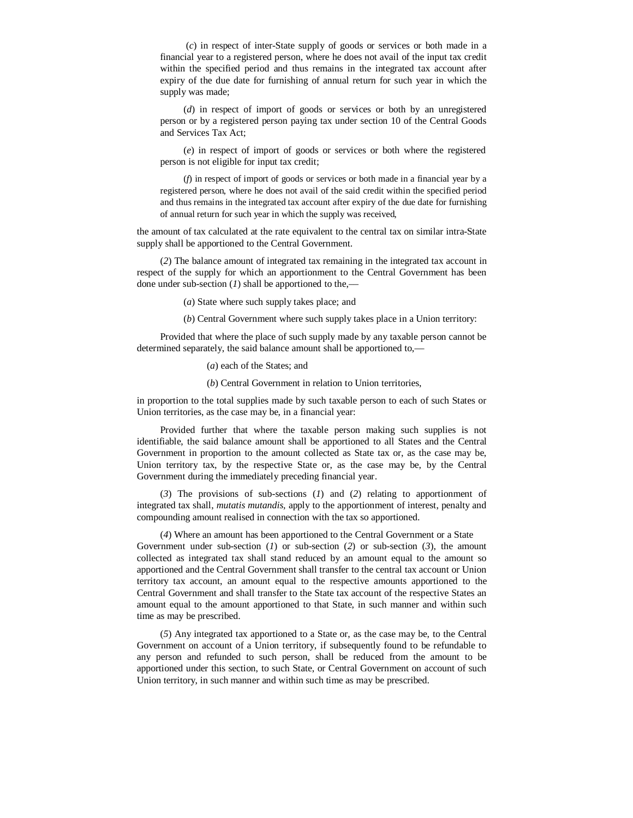(*c*) in respect of inter-State supply of goods or services or both made in a financial year to a registered person, where he does not avail of the input tax credit within the specified period and thus remains in the integrated tax account after expiry of the due date for furnishing of annual return for such year in which the supply was made;

(*d*) in respect of import of goods or services or both by an unregistered person or by a registered person paying tax under section 10 of the Central Goods and Services Tax Act;

(*e*) in respect of import of goods or services or both where the registered person is not eligible for input tax credit;

(*f*) in respect of import of goods or services or both made in a financial year by a registered person, where he does not avail of the said credit within the specified period and thus remains in the integrated tax account after expiry of the due date for furnishing of annual return for such year in which the supply was received,

the amount of tax calculated at the rate equivalent to the central tax on similar intra-State supply shall be apportioned to the Central Government.

(*2*) The balance amount of integrated tax remaining in the integrated tax account in respect of the supply for which an apportionment to the Central Government has been done under sub-section (*1*) shall be apportioned to the,––

(*a*) State where such supply takes place; and

(*b*) Central Government where such supply takes place in a Union territory:

Provided that where the place of such supply made by any taxable person cannot be determined separately, the said balance amount shall be apportioned to,––

(*a*) each of the States; and

(*b*) Central Government in relation to Union territories,

in proportion to the total supplies made by such taxable person to each of such States or Union territories, as the case may be, in a financial year:

Provided further that where the taxable person making such supplies is not identifiable, the said balance amount shall be apportioned to all States and the Central Government in proportion to the amount collected as State tax or, as the case may be, Union territory tax, by the respective State or, as the case may be, by the Central Government during the immediately preceding financial year.

(*3*) The provisions of sub-sections (*1*) and (*2*) relating to apportionment of integrated tax shall, *mutatis mutandis,* apply to the apportionment of interest, penalty and compounding amount realised in connection with the tax so apportioned.

(*4*) Where an amount has been apportioned to the Central Government or a State Government under sub-section (*1*) or sub-section (*2*) or sub-section (*3*), the amount collected as integrated tax shall stand reduced by an amount equal to the amount so apportioned and the Central Government shall transfer to the central tax account or Union territory tax account, an amount equal to the respective amounts apportioned to the Central Government and shall transfer to the State tax account of the respective States an amount equal to the amount apportioned to that State, in such manner and within such time as may be prescribed.

(*5*) Any integrated tax apportioned to a State or, as the case may be, to the Central Government on account of a Union territory, if subsequently found to be refundable to any person and refunded to such person, shall be reduced from the amount to be apportioned under this section, to such State, or Central Government on account of such Union territory, in such manner and within such time as may be prescribed.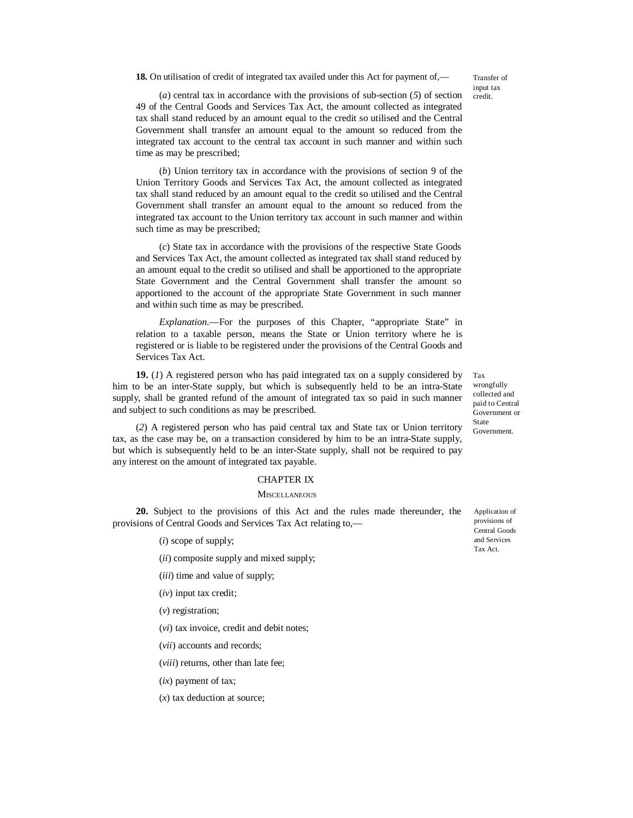**18.** On utilisation of credit of integrated tax availed under this Act for payment of,—

Transfer of input tax credit.

(*a*) central tax in accordance with the provisions of sub-section (*5*) of section 49 of the Central Goods and Services Tax Act, the amount collected as integrated tax shall stand reduced by an amount equal to the credit so utilised and the Central Government shall transfer an amount equal to the amount so reduced from the integrated tax account to the central tax account in such manner and within such time as may be prescribed;

(*b*) Union territory tax in accordance with the provisions of section 9 of the Union Territory Goods and Services Tax Act, the amount collected as integrated tax shall stand reduced by an amount equal to the credit so utilised and the Central Government shall transfer an amount equal to the amount so reduced from the integrated tax account to the Union territory tax account in such manner and within such time as may be prescribed;

(*c*) State tax in accordance with the provisions of the respective State Goods and Services Tax Act, the amount collected as integrated tax shall stand reduced by an amount equal to the credit so utilised and shall be apportioned to the appropriate State Government and the Central Government shall transfer the amount so apportioned to the account of the appropriate State Government in such manner and within such time as may be prescribed.

*Explanation*.––For the purposes of this Chapter, "appropriate State" in relation to a taxable person, means the State or Union territory where he is registered or is liable to be registered under the provisions of the Central Goods and Services Tax Act.

**19.** (*1*) A registered person who has paid integrated tax on a supply considered by him to be an inter-State supply, but which is subsequently held to be an intra-State supply, shall be granted refund of the amount of integrated tax so paid in such manner and subject to such conditions as may be prescribed.

(*2*) A registered person who has paid central tax and State tax or Union territory tax, as the case may be, on a transaction considered by him to be an intra-State supply, but which is subsequently held to be an inter-State supply, shall not be required to pay any interest on the amount of integrated tax payable.

#### CHAPTER IX

#### **MISCELLANEOUS**

**20.** Subject to the provisions of this Act and the rules made thereunder, the provisions of Central Goods and Services Tax Act relating to,––

(*i*) scope of supply;

- (*ii*) composite supply and mixed supply;
- (*iii*) time and value of supply;
- (*iv*) input tax credit;
- (*v*) registration;

(*vi*) tax invoice, credit and debit notes;

- (*vii*) accounts and records;
- (*viii*) returns, other than late fee;
- (*ix*) payment of tax;

(*x*) tax deduction at source;

Application of provisions of Central Goods and Services Tax Act.

wrongfully collected and paid to Central Government or State Government.

Tax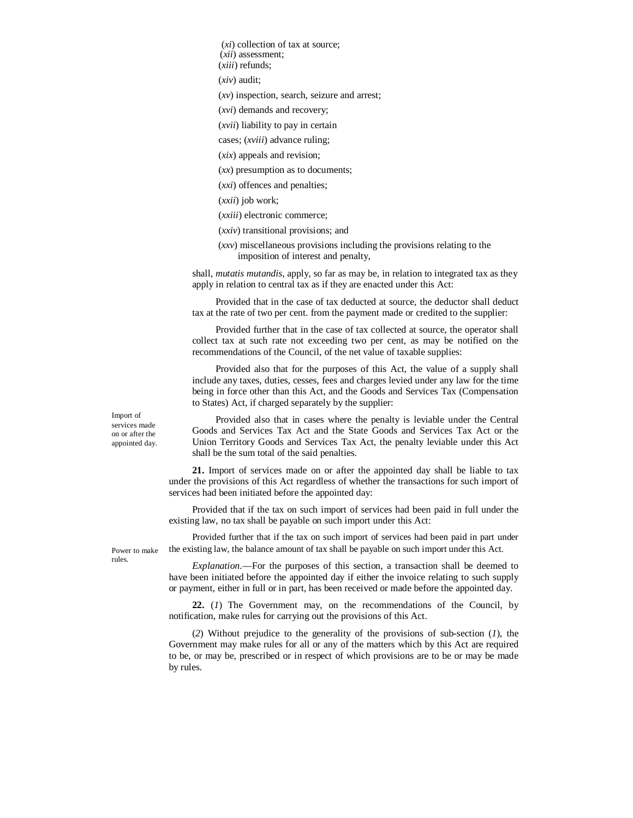(*xi*) collection of tax at source;

(*xii*) assessment;

(*xiii*) refunds;

(*xiv*) audit;

(*xv*) inspection, search, seizure and arrest;

(*xvi*) demands and recovery;

(*xvii*) liability to pay in certain

cases; (*xviii*) advance ruling;

(*xix*) appeals and revision;

(*xx*) presumption as to documents;

(*xxi*) offences and penalties;

(*xxii*) job work;

(*xxiii*) electronic commerce;

(*xxiv*) transitional provisions; and

(*xxv*) miscellaneous provisions including the provisions relating to the imposition of interest and penalty,

shall, *mutatis mutandis,* apply, so far as may be, in relation to integrated tax as they apply in relation to central tax as if they are enacted under this Act:

Provided that in the case of tax deducted at source, the deductor shall deduct tax at the rate of two per cent. from the payment made or credited to the supplier:

Provided further that in the case of tax collected at source, the operator shall collect tax at such rate not exceeding two per cent, as may be notified on the recommendations of the Council, of the net value of taxable supplies:

Provided also that for the purposes of this Act, the value of a supply shall include any taxes, duties, cesses, fees and charges levied under any law for the time being in force other than this Act, and the Goods and Services Tax (Compensation to States) Act, if charged separately by the supplier:

Import of services made on or after the appointed day.

Provided also that in cases where the penalty is leviable under the Central Goods and Services Tax Act and the State Goods and Services Tax Act or the Union Territory Goods and Services Tax Act, the penalty leviable under this Act shall be the sum total of the said penalties.

**21.** Import of services made on or after the appointed day shall be liable to tax under the provisions of this Act regardless of whether the transactions for such import of services had been initiated before the appointed day:

Provided that if the tax on such import of services had been paid in full under the existing law, no tax shall be payable on such import under this Act:

Provided further that if the tax on such import of services had been paid in part under the existing law, the balance amount of tax shall be payable on such import under this Act.

Power to make rules.

*Explanation*.––For the purposes of this section, a transaction shall be deemed to have been initiated before the appointed day if either the invoice relating to such supply or payment, either in full or in part, has been received or made before the appointed day.

**22.** (*1*) The Government may, on the recommendations of the Council, by notification, make rules for carrying out the provisions of this Act.

(*2*) Without prejudice to the generality of the provisions of sub-section (*1*), the Government may make rules for all or any of the matters which by this Act are required to be, or may be, prescribed or in respect of which provisions are to be or may be made by rules.